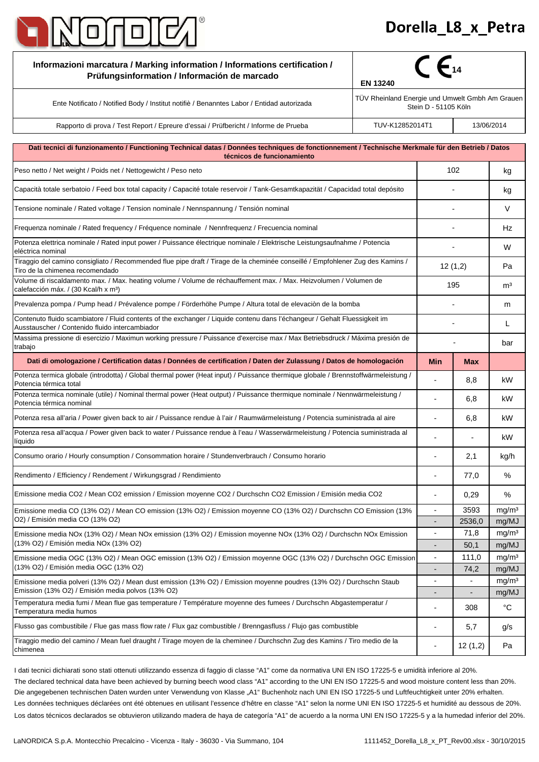

## - -

| Informazioni marcatura / Marking information / Informations certification /<br>Prüfungsinformation / Información de marcado                                                                                                                                                                    | $\mathcal{C}$ $\epsilon$ <sup>14</sup><br><b>EN 13240</b>               |                          |                          |                            |
|------------------------------------------------------------------------------------------------------------------------------------------------------------------------------------------------------------------------------------------------------------------------------------------------|-------------------------------------------------------------------------|--------------------------|--------------------------|----------------------------|
| Ente Notificato / Notified Body / Institut notifiè / Benanntes Labor / Entidad autorizada                                                                                                                                                                                                      | TÜV Rheinland Energie und Umwelt Gmbh Am Grauen<br>Stein D - 51105 Köln |                          |                          |                            |
| Rapporto di prova / Test Report / Epreure d'essai / Prüfbericht / Informe de Prueba                                                                                                                                                                                                            | TUV-K12852014T1                                                         |                          | 13/06/2014               |                            |
| Dati tecnici di funzionamento / Functioning Technical datas / Données techniques de fonctionnement / Technische Merkmale für den Betrieb / Datos                                                                                                                                               |                                                                         |                          |                          |                            |
| técnicos de funcionamiento                                                                                                                                                                                                                                                                     |                                                                         |                          |                          |                            |
| Peso netto / Net weight / Poids net / Nettogewicht / Peso neto                                                                                                                                                                                                                                 |                                                                         | 102                      |                          | kg                         |
| Capacità totale serbatoio / Feed box total capacity / Capacité totale reservoir / Tank-Gesamtkapazität / Capacidad total depósito                                                                                                                                                              |                                                                         |                          |                          | kg                         |
| Tensione nominale / Rated voltage / Tension nominale / Nennspannung / Tensión nominal                                                                                                                                                                                                          |                                                                         |                          |                          | V                          |
| Frequenza nominale / Rated frequency / Fréquence nominale / Nennfrequenz / Frecuencia nominal                                                                                                                                                                                                  |                                                                         |                          |                          | Hz                         |
| Potenza elettrica nominale / Rated input power / Puissance électrique nominale / Elektrische Leistungsaufnahme / Potencia<br>eléctrica nominal                                                                                                                                                 |                                                                         |                          |                          | W                          |
| Tiraggio del camino consigliato / Recommended flue pipe draft / Tirage de la cheminée conseillé / Empfohlener Zug des Kamins /<br>Tiro de la chimenea recomendado                                                                                                                              |                                                                         | 12(1,2)                  |                          | Pa                         |
| Volume di riscaldamento max. / Max. heating volume / Volume de réchauffement max. / Max. Heizvolumen / Volumen de<br>calefacción máx. / (30 Kcal/h x m <sup>3</sup> )                                                                                                                          |                                                                         | 195                      |                          | m <sup>3</sup>             |
| Prevalenza pompa / Pump head / Prévalence pompe / Förderhöhe Pumpe / Altura total de elevaciòn de la bomba                                                                                                                                                                                     |                                                                         |                          |                          | m                          |
| Contenuto fluido scambiatore / Fluid contents of the exchanger / Liquide contenu dans l'échangeur / Gehalt Fluessigkeit im<br>Ausstauscher / Contenido fluido intercambiador                                                                                                                   |                                                                         |                          |                          | L                          |
| Massima pressione di esercizio / Maximun working pressure / Puissance d'exercise max / Max Betriebsdruck / Máxima presión de<br>trabajo                                                                                                                                                        |                                                                         |                          |                          | bar                        |
| Dati di omologazione / Certification datas / Données de certification / Daten der Zulassung / Datos de homologación                                                                                                                                                                            |                                                                         | <b>Min</b>               | <b>Max</b>               |                            |
| Potenza termica globale (introdotta) / Global thermal power (Heat input) / Puissance thermique globale / Brennstoffwärmeleistung /<br>Potencia térmica total                                                                                                                                   |                                                                         |                          | 8,8                      | kW                         |
| Potenza termica nominale (utile) / Nominal thermal power (Heat output) / Puissance thermique nominale / Nennwärmeleistung /<br>Potencia térmica nominal                                                                                                                                        |                                                                         |                          | 6,8                      | kW                         |
| Potenza resa all'aria / Power given back to air / Puissance rendue à l'air / Raumwärmeleistung / Potencia suministrada al aire                                                                                                                                                                 |                                                                         |                          | 6,8                      | kW                         |
| Potenza resa all'acqua / Power given back to water / Puissance rendue à l'eau / Wasserwärmeleistung / Potencia suministrada al<br>líquido                                                                                                                                                      |                                                                         |                          |                          | kW                         |
| Consumo orario / Hourly consumption / Consommation horaire / Stundenverbrauch / Consumo horario                                                                                                                                                                                                |                                                                         |                          | 2,1                      | kg/h                       |
| Rendimento / Efficiency / Rendement / Wirkungsgrad / Rendimiento                                                                                                                                                                                                                               |                                                                         | $\overline{a}$           | 77,0                     | $\%$                       |
| Emissione media CO2 / Mean CO2 emission / Emission moyenne CO2 / Durchschn CO2 Emission / Emisión media CO2                                                                                                                                                                                    |                                                                         |                          | 0,29                     | $\%$                       |
| Emissione media CO (13% O2) / Mean CO emission (13% O2) / Emission moyenne CO (13% O2) / Durchschn CO Emission (13%                                                                                                                                                                            |                                                                         | $\overline{a}$           | 3593                     | mg/m <sup>3</sup>          |
| O2) / Emisión media CO (13% O2)<br>Emissione media NOx (13% O2) / Mean NOx emission (13% O2) / Emission moyenne NOx (13% O2) / Durchschn NOx Emission<br>(13% O2) / Emisión media NOx (13% O2)                                                                                                 |                                                                         | ÷                        | 2536,0<br>71,8           | mg/MJ                      |
|                                                                                                                                                                                                                                                                                                |                                                                         |                          | 50,1                     | mg/m <sup>3</sup><br>mg/MJ |
| Emissione media OGC (13% O2) / Mean OGC emission (13% O2) / Emission moyenne OGC (13% O2) / Durchschn OGC Emission<br>(13% O2) / Emisión media OGC (13% O2)                                                                                                                                    |                                                                         | $\overline{\phantom{a}}$ | 111,0                    | mg/m <sup>3</sup>          |
|                                                                                                                                                                                                                                                                                                |                                                                         |                          | 74,2                     | mg/MJ                      |
| Emissione media polveri (13% O2) / Mean dust emission (13% O2) / Emission moyenne poudres (13% O2) / Durchschn Staub<br>Emission (13% O2) / Emisión media polvos (13% O2)<br>Temperatura media fumi / Mean flue gas temperature / Température moyenne des fumees / Durchschn Abgastemperatur / |                                                                         | $\overline{a}$           | $\overline{\phantom{a}}$ | mg/m <sup>3</sup>          |
|                                                                                                                                                                                                                                                                                                |                                                                         |                          | $\overline{\phantom{a}}$ | mg/MJ                      |
| Temperatura media humos                                                                                                                                                                                                                                                                        |                                                                         |                          | 308                      | $^{\circ}C$                |
| Flusso gas combustibile / Flue gas mass flow rate / Flux gaz combustible / Brenngasfluss / Flujo gas combustible                                                                                                                                                                               |                                                                         |                          | 5,7                      | g/s                        |
| Tiraggio medio del camino / Mean fuel draught / Tirage moyen de la cheminee / Durchschn Zug des Kamins / Tiro medio de la<br>chimenea                                                                                                                                                          |                                                                         | ÷                        | 12(1,2)                  | Pa                         |

Los datos técnicos declarados se obtuvieron utilizando madera de haya de categoría "A1" de acuerdo a la norma UNI EN ISO 17225-5 y a la humedad inferior del 20%. Les données techniques déclarées ont été obtenues en utilisant l'essence d'hêtre en classe "A1" selon la norme UNI EN ISO 17225-5 et humidité au dessous de 20%. I dati tecnici dichiarati sono stati ottenuti utilizzando essenza di faggio di classe "A1" come da normativa UNI EN ISO 17225-5 e umidità inferiore al 20%. Die angegebenen technischen Daten wurden unter Verwendung von Klasse "A1" Buchenholz nach UNI EN ISO 17225-5 und Luftfeuchtigkeit unter 20% erhalten. The declared technical data have been achieved by burning beech wood class "A1" according to the UNI EN ISO 17225-5 and wood moisture content less than 20%.